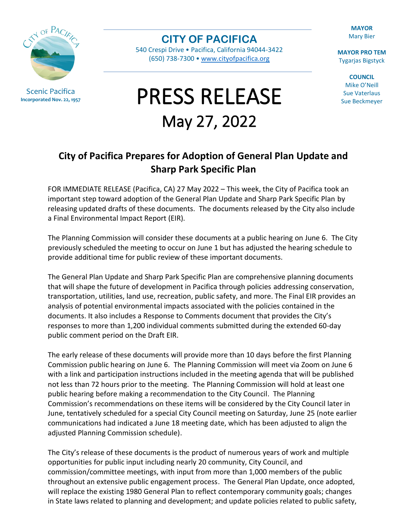

Scenic Pacifica **Incorporated Nov. 22, 1957**

**CITY OF PACIFICA**

540 Crespi Drive • Pacifica, California 94044-3422 (650) 738-7300 • [www.cityofpacifica.org](http://www.cityofpacifica.org/)

## PRESS RELEASE May 27, 2022

**MAYOR** Mary Bier

**MAYOR PRO TEM** Tygarjas Bigstyck

**COUNCIL** Mike O'Neill Sue Vaterlaus Sue Beckmeyer

## **City of Pacifica Prepares for Adoption of General Plan Update and Sharp Park Specific Plan**

FOR IMMEDIATE RELEASE (Pacifica, CA) 27 May 2022 – This week, the City of Pacifica took an important step toward adoption of the General Plan Update and Sharp Park Specific Plan by releasing updated drafts of these documents. The documents released by the City also include a Final Environmental Impact Report (EIR).

The Planning Commission will consider these documents at a public hearing on June 6. The City previously scheduled the meeting to occur on June 1 but has adjusted the hearing schedule to provide additional time for public review of these important documents.

The General Plan Update and Sharp Park Specific Plan are comprehensive planning documents that will shape the future of development in Pacifica through policies addressing conservation, transportation, utilities, land use, recreation, public safety, and more. The Final EIR provides an analysis of potential environmental impacts associated with the policies contained in the documents. It also includes a Response to Comments document that provides the City's responses to more than 1,200 individual comments submitted during the extended 60-day public comment period on the Draft EIR.

The early release of these documents will provide more than 10 days before the first Planning Commission public hearing on June 6. The Planning Commission will meet via Zoom on June 6 with a link and participation instructions included in the meeting agenda that will be published not less than 72 hours prior to the meeting. The Planning Commission will hold at least one public hearing before making a recommendation to the City Council. The Planning Commission's recommendations on these items will be considered by the City Council later in June, tentatively scheduled for a special City Council meeting on Saturday, June 25 (note earlier communications had indicated a June 18 meeting date, which has been adjusted to align the adjusted Planning Commission schedule).

The City's release of these documents is the product of numerous years of work and multiple opportunities for public input including nearly 20 community, City Council, and commission/committee meetings, with input from more than 1,000 members of the public throughout an extensive public engagement process. The General Plan Update, once adopted, will replace the existing 1980 General Plan to reflect contemporary community goals; changes in State laws related to planning and development; and update policies related to public safety,